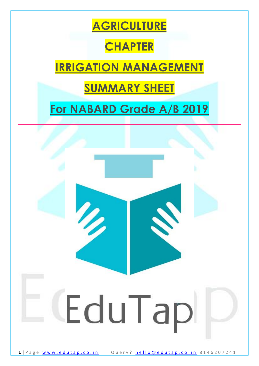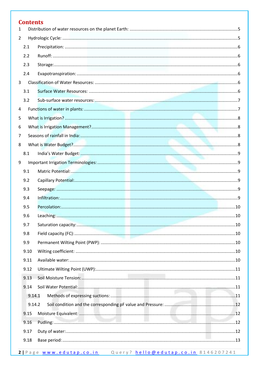| <b>Contents</b> |  |
|-----------------|--|
| 1               |  |
| $\overline{2}$  |  |
| 2.1<br>2.2      |  |
|                 |  |
| 2.3             |  |
| 2.4             |  |
| $\overline{3}$  |  |
| 3.1             |  |
| 3.2             |  |
| 4               |  |
| 5               |  |
| 6               |  |
| 7               |  |
| 8               |  |
| 8.1             |  |
| 9               |  |
| 9.1             |  |
| 9.2             |  |
| 9.3             |  |
| 9.4             |  |
| 9.5             |  |
| 9.6             |  |
| 9.7             |  |
| 9.8             |  |
| 9.9             |  |
| 9.10            |  |
| 9.11            |  |
| 9.12            |  |
| 9.13            |  |
| 9.14            |  |
| 9.14.1          |  |
| 9.14.2          |  |
| 9.15            |  |
| 9.16            |  |
| 9.17            |  |
| 9.18            |  |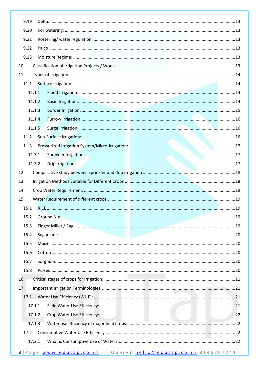| 9.19 |        |  |
|------|--------|--|
| 9.20 |        |  |
| 9.21 |        |  |
| 9.22 |        |  |
| 9.23 |        |  |
| 10   |        |  |
| 11   |        |  |
| 11.1 |        |  |
|      | 11.1.1 |  |
|      | 11.1.2 |  |
|      | 11.1.3 |  |
|      | 11.1.4 |  |
|      | 11.1.5 |  |
| 11.2 |        |  |
| 11.3 |        |  |
|      | 11.3.1 |  |
|      | 11.3.2 |  |
| 12   |        |  |
| 13   |        |  |
| 14   |        |  |
| 15   |        |  |
| 15.1 |        |  |
| 15.2 |        |  |
| 15.3 |        |  |
| 15.4 |        |  |
| 15.5 |        |  |
| 15.6 |        |  |
| 15.7 |        |  |
| 15.8 |        |  |
| 16   |        |  |
| 17   |        |  |
| 17.1 |        |  |
|      | 17.1.1 |  |
|      | 17.1.2 |  |
|      | 17.1.3 |  |
| 17.2 |        |  |
|      | 17.2.1 |  |
|      |        |  |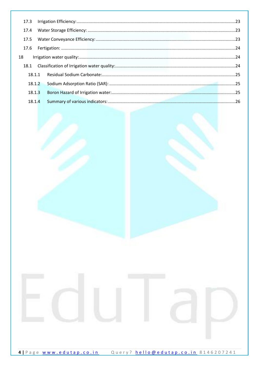| 17.4   |  |
|--------|--|
| 17.5   |  |
| 17.6   |  |
| 18     |  |
| 18.1   |  |
| 18.1.1 |  |
| 18.1.2 |  |
| 18.1.3 |  |
|        |  |

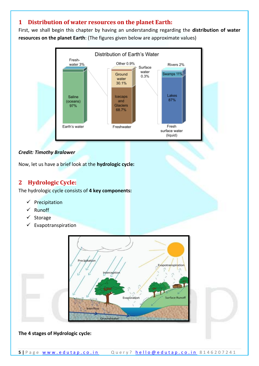## <span id="page-4-0"></span>**1 Distribution of water resources on the planet Earth:**

First, we shall begin this chapter by having an understanding regarding the **distribution of water resources on the planet Earth**: (The figures given below are approximate values)



### *Credit: Timothy Bralower*

Now, let us have a brief look at the **hydrologic cycle:**

## <span id="page-4-1"></span>**2 Hydrologic Cycle:**

The hydrologic cycle consists of **4 key components:**

- ✓ Precipitation
- **Runoff**
- ✓ Storage
- ✓ Evapotranspiration



#### **The 4 stages of Hydrologic cycle:**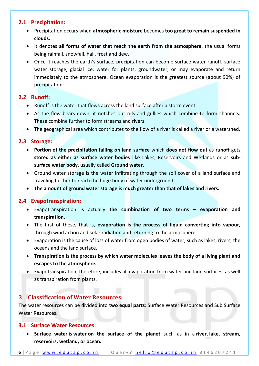### <span id="page-5-0"></span>**2.1 Precipitation:**

- Precipitation occurs when **atmospheric moisture** becomes **too great to remain suspended in clouds.**
- It denotes **all forms of water that reach the earth from the atmosphere**, the usual forms being rainfall, snowfall, hail, frost and dew.
- Once it reaches the earth's surface, precipitation can become surface water runoff, surface water storage, glacial ice, water for plants, groundwater, or may evaporate and return immediately to the atmosphere. Ocean evaporation is the greatest source (about 90%) of precipitation.

### <span id="page-5-1"></span>**2.2 Runoff:**

- Runoff is the water that flows across the land surface after a storm event.
- As the flow bears down, it notches out rills and gullies which combine to form channels. These combine further to form streams and rivers.
- The geographical area which contributes to the flow of a river is called a river or a watershed.

### <span id="page-5-2"></span>**2.3 Storage:**

- **Portion of the precipitation falling on land surface** which **does not flow out** as **runoff** gets **stored as either as surface water bodies** like Lakes, Reservoirs and Wetlands or as **subsurface water body**, usually called **Ground water**.
- Ground water storage is the water infiltrating through the soil cover of a land surface and traveling further to reach the huge body of water underground.
- **The amount of ground water storage is much greater than that of lakes and rivers.**

### <span id="page-5-3"></span>**2.4 Evapotranspiration:**

- Evapotranspiration is actually **the combination of two terms evaporation and transpiration.**
- The first of these, that is, **evaporation is the process of liquid converting into vapour,** through wind action and solar radiation and returning to the atmosphere.
- Evaporation is the cause of loss of water from open bodies of water, such as lakes, rivers, the oceans and the land surface.
- **Transpiration is the process by which water molecules leaves the body of a living plant and escapes to the atmosphere.**
- Evapotranspiration, therefore, includes all evaporation from water and land surfaces, as well as transpiration from plants.

## <span id="page-5-4"></span>**3 Classification of Water Resources:**

The water resources can be divided into **two equal parts**: Surface Water Resources and Sub Surface Water Resources.

### <span id="page-5-5"></span>**3.1 Surface Water Resources:**

• **Surface water** is **water on the surface of the planet** such as in a **river, lake, stream, reservoirs, wetland, or ocean.**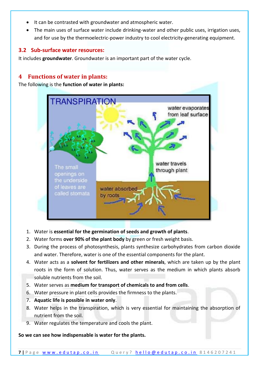- It can be contrasted with groundwater and atmospheric water.
- The main uses of surface water include drinking-water and other public uses, irrigation uses, and for use by the thermoelectric-power industry to cool electricity-generating equipment.

### <span id="page-6-0"></span>**3.2 Sub-surface water resources:**

It includes **groundwater**. Groundwater is an important part of the water cycle.

## <span id="page-6-1"></span>**4 Functions of water in plants:**

The following is the **function of water in plants:**



- 1. Water is **essential for the germination of seeds and growth of plants**.
- 2. Water forms **over 90% of the plant body** by green or fresh weight basis.
- 3. During the process of photosynthesis, plants synthesize carbohydrates from carbon dioxide and water. Therefore, water is one of the essential components for the plant.
- 4. Water acts as a **solvent for fertilizers and other minerals**, which are taken up by the plant roots in the form of solution. Thus, water serves as the medium in which plants absorb soluble nutrients from the soil.
- 5. Water serves as **medium for transport of chemicals to and from cells**.
- 6. Water pressure in plant cells provides the firmness to the plants.
- 7. **Aquatic life is possible in water only**.
- 8. Water helps in the transpiration, which is very essential for maintaining the absorption of nutrient from the soil.
- 9. Water regulates the temperature and cools the plant.

**So we can see how indispensable is water for the plants.**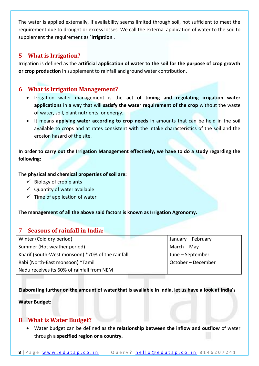The water is applied externally, if availability seems limited through soil, not sufficient to meet the requirement due to drought or excess losses. We call the external application of water to the soil to supplement the requirement as `**Irrigation**'.

## <span id="page-7-0"></span>**5 What is Irrigation?**

Irrigation is defined as the **artificial application of water to the soil for the purpose of crop growth or crop production** in supplement to rainfall and ground water contribution.

## <span id="page-7-1"></span>**6 What is Irrigation Management?**

- Irrigation water management is the **act of timing and regulating irrigation water applications** in a way that will **satisfy the water requirement of the crop** without the waste of water, soil, plant nutrients, or energy.
- It means **applying water according to crop needs** in amounts that can be held in the soil available to crops and at rates consistent with the intake characteristics of the soil and the erosion hazard of the site.

**In order to carry out the Irrigation Management effectively, we have to do a study regarding the following:**

The **physical and chemical properties of soil are:**

- $\checkmark$  Biology of crop plants
- $\checkmark$  Quantity of water available
- $\checkmark$  Time of application of water

<span id="page-7-2"></span>**The management of all the above said factors is known as Irrigation Agronomy.**

## **7 Seasons of rainfall in India:**

| Winter (Cold dry period)                         | January - February |
|--------------------------------------------------|--------------------|
| Summer (Hot weather period)                      | March $-$ May      |
| Kharif (South-West monsoon) *70% of the rainfall | June – September   |
| Rabi (North-East monsoon) *Tamil                 | October – December |
| Nadu receives its 60% of rainfall from NEM       |                    |

**Elaborating further on the amount of water that is available in India, let us have a look at India's** 

**Water Budget:**

## <span id="page-7-3"></span>**8 What is Water Budget?**

• Water budget can be defined as the **relationship between the inflow and outflow** of water through a **specified region or a country.**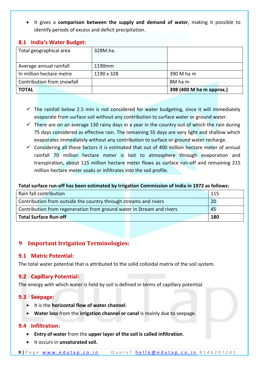• It gives a **comparison between the supply and demand of water**, making it possible to identify periods of excess and deficit precipitation.

| Total geographical area    | 328M.ha.   |                          |
|----------------------------|------------|--------------------------|
|                            |            |                          |
| Average annual rainfall    | 1190mm     |                          |
| In million hectare metre   | 1190 x 328 | 390 M ha m               |
| Contribution from snowfall |            | 8M ham                   |
| <b>TOTAL</b>               |            | 398 (400 M ha m approx.) |

### <span id="page-8-0"></span>**8.1 India's Water Budget:**

- $\checkmark$  The rainfall below 2.5 mm is not considered for water budgeting, since it will immediately evaporate from surface soil without any contribution to surface water or ground water.
- $\checkmark$  There are on an average 130 rainy days in a year in the country out of which the rain during 75 days considered as effective rain. The remaining 55 days are very light and shallow which evaporates immediately without any contribution to surface or ground water recharge.
- $\checkmark$  Considering all these factors it is estimated that out of 400 million hectare meter of annual rainfall 70 million hectare meter is lost to atmosphere through evaporation and transpiration, about 115 million hectare meter flows as surface run-off and remaining 215 million hectare meter soaks or infiltrates into the soil profile.

#### **Total surface run-off has been estimated by Irrigation Commission of India in 1972 as follows:**

| Rain fall contribution                                                      |  | -115 |
|-----------------------------------------------------------------------------|--|------|
| Contribution from outside the country through streams and rivers            |  | 20   |
| Contribution from regeneration from ground water in Stream and rivers<br>45 |  |      |
| Total Surface Run-off                                                       |  | 180  |

## <span id="page-8-1"></span>**9 Important Irrigation Terminologies:**

### <span id="page-8-2"></span>**9.1 Matric Potential:**

The total water potential that is attributed to the solid colloidal matrix of the soil system.

### <span id="page-8-3"></span>**9.2 Capillary Potential:**

The energy with which water is held by soil is defined in terms of capillary potential.

#### <span id="page-8-4"></span>**9.3 Seepage:**

- It is the **horizontal flow of water channel**.
- **Water loss** from the **irrigation channel or canal** is mainly due to seepage.

#### <span id="page-8-5"></span>**9.4 Infiltration:**

- **Entry of water** from the **upper layer of the soil is called infiltration**.
- It occurs in **unsaturated soil.**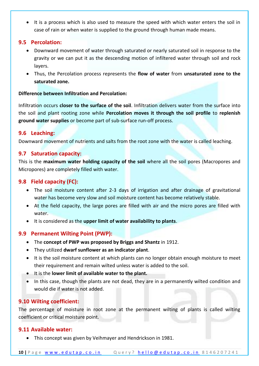• It is a process which is also used to measure the speed with which water enters the soil in case of rain or when water is supplied to the ground through human made means.

### <span id="page-9-0"></span>**9.5 Percolation:**

- Downward movement of water through saturated or nearly saturated soil in response to the gravity or we can put it as the descending motion of infiltered water through soil and rock layers.
- Thus, the Percolation process represents the **flow of water** from **unsaturated zone to the saturated zone.**

#### **Difference between Infiltration and Percolation:**

Infiltration occurs **closer to the surface of the soil**. Infiltration delivers water from the surface into the soil and plant rooting zone while **Percolation moves it through the soil profile** to **replenish ground water supplies** or become part of sub-surface run-off process.

#### <span id="page-9-1"></span>**9.6 Leaching:**

Downward movement of nutrients and salts from the root zone with the water is called leaching.

### <span id="page-9-2"></span>**9.7 Saturation capacity:**

This is the **maximum water holding capacity of the soil** where all the soil pores (Macropores and Micropores) are completely filled with water.

### <span id="page-9-3"></span>**9.8 Field capacity (FC):**

- The soil moisture content after 2-3 days of irrigation and after drainage of gravitational water has become very slow and soil moisture content has become relatively stable.
- At the field capacity, the large pores are filled with air and the micro pores are filled with water.
- It is considered as the **upper limit of water availability to plants**.

### <span id="page-9-4"></span>**9.9 Permanent Wilting Point (PWP):**

- The **concept of PWP was proposed by Briggs and Shantz** in 1912.
- They utilized **dwarf sunflower as an indicator plant**.
- It is the soil moisture content at which plants can no longer obtain enough moisture to meet their requirement and remain wilted unless water is added to the soil.
- It is the **lower limit of available water to the plant.**
- In this case, though the plants are not dead, they are in a permanently wilted condition and would die if water is not added.

### <span id="page-9-5"></span>**9.10 Wilting coefficient:**

The percentage of moisture in root zone at the permanent wilting of plants is called wilting coefficient or critical moisture point.

#### <span id="page-9-6"></span>**9.11 Available water:**

• This concept was given by Veihmayer and Hendrickson in 1981.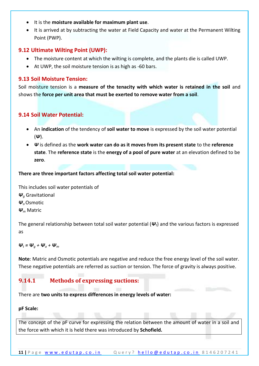- It is the **moisture available for maximum plant use**.
- It is arrived at by subtracting the water at Field Capacity and water at the Permanent Wilting Point (PWP).

### <span id="page-10-0"></span>**9.12 Ultimate Wilting Point (UWP):**

- The moisture content at which the wilting is complete, and the plants die is called UWP.
- At UWP, the soil moisture tension is as high as -60 bars.

### <span id="page-10-1"></span>**9.13 Soil Moisture Tension:**

Soil moisture tension is a **measure of the tenacity with which water is retained in the soil** and shows the **force per unit area that must be exerted to remove water from a soil**.

### <span id="page-10-2"></span>**9.14 Soil Water Potential:**

- An **indication** of the tendency of **soil water to move** is expressed by the soil water potential (*Ψ*).
- *Ψ* is defined as the **work water can do as it moves from its present state** to the **reference state**. The **reference state** is the **energy of a pool of pure water** at an elevation defined to be **zero**.

**There are three important factors affecting total soil water potential:**

This includes soil water potentials of *Ψ<sup>g</sup>* Gravitational *Ψo*Osmotic *Ψ<sup>m</sup>* Matric

The general relationship between total soil water potential (*Ψt*) and the various factors is expressed as

### $\Psi_t = \Psi_a + \Psi_a + \Psi_m$

**Note**: Matric and Osmotic potentials are negative and reduce the free energy level of the soil water. These negative potentials are referred as suction or tension. The force of gravity is always positive.

## <span id="page-10-3"></span>**9.14.1 Methods of expressing suctions:**

There are **two units to express differences in energy levels of water:**

#### **pF Scale:**

The concept of the pF curve for expressing the relation between the amount of water in a soil and the force with which it is held there was introduced by **Schofield.**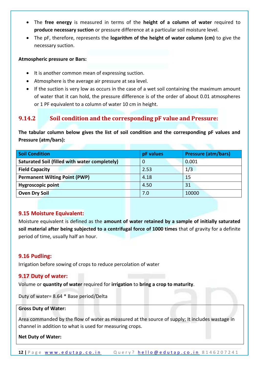- The **free energy** is measured in terms of the **height of a column of water** required to **produce necessary suction** or pressure difference at a particular soil moisture level.
- The pF, therefore, represents the **logarithm of the height of water column (cm)** to give the necessary suction.

#### **Atmospheric pressure or Bars:**

- It is another common mean of expressing suction.
- Atmosphere is the average air pressure at sea level.
- If the suction is very low as occurs in the case of a wet soil containing the maximum amount of water that it can hold, the pressure difference is of the order of about 0.01 atmospheres or 1 PF equivalent to a column of water 10 cm in height.

## <span id="page-11-0"></span>**9.14.2 Soil condition and the corresponding pF value and Pressure:**

**The tabular column below gives the list of soil condition and the corresponding pF values and Pressure (atm/bars):**

| <b>Soil Condition</b>                         |  | pF values | <b>Pressure (atm/bars)</b> |
|-----------------------------------------------|--|-----------|----------------------------|
| Saturated Soil (filled with water completely) |  | 0         | 0.001                      |
| <b>Field Capacity</b>                         |  | 2.53      | 1/3                        |
| <b>Permanent Wilting Point (PWP)</b>          |  | 4.18      | 15                         |
| <b>Hygroscopic point</b>                      |  | 4.50      | 31                         |
| <b>Oven Dry Soil</b>                          |  | 7.0       | 10000                      |

#### <span id="page-11-1"></span>**9.15 Moisture Equivalent:**

Moisture equivalent is defined as the **amount of water retained by a sample of initially saturated soil material after being subjected to a centrifugal force of 1000 times** that of gravity for a definite period of time, usually half an hour.

#### <span id="page-11-2"></span>**9.16 Pudling:**

Irrigation before sowing of crops to reduce percolation of water

#### <span id="page-11-3"></span>**9.17 Duty of water:**

Volume or **quantity of water** required for **irrigation** to **bring a crop to maturity**.

Duty of water= 8.64 \* Base period/Delta

#### **Gross Duty of Water:**

Area commanded by the flow of water as measured at the source of supply; It includes wastage in channel in addition to what is used for measuring crops.

#### **Net Duty of Water:**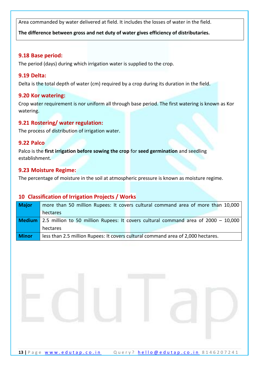Area commanded by water delivered at field. It includes the losses of water in the field.

**The difference between gross and net duty of water gives efficiency of distributaries.**

#### <span id="page-12-0"></span>**9.18 Base period:**

The period (days) during which irrigation water is supplied to the crop.

### <span id="page-12-1"></span>**9.19 Delta:**

Delta is the total depth of water (cm) required by a crop during its duration in the field.

### <span id="page-12-2"></span>**9.20 Kor watering:**

Crop water requirement is nor uniform all through base period. The first watering is known as Kor watering.

### <span id="page-12-3"></span>**9.21 Rostering/ water regulation:**

The process of distribution of irrigation water.

#### <span id="page-12-4"></span>**9.22 Palco**

Palco is the **first irrigation before sowing the crop** for **seed germination** and seedling establishment.

### <span id="page-12-5"></span>**9.23 Moisture Regime:**

<span id="page-12-6"></span>The percentage of moisture in the soil at atmospheric pressure is known as moisture regime.

### **10 Classification of Irrigation Projects / Works**

| <b>Major</b> | more than 50 million Rupees: It covers cultural command area of more than 10,000                   |
|--------------|----------------------------------------------------------------------------------------------------|
|              | hectares                                                                                           |
|              | <b>Medium</b> 2.5 million to 50 million Rupees: It covers cultural command area of $2000 - 10,000$ |
|              | hectares                                                                                           |
| <b>Minor</b> | less than 2.5 million Rupees: It covers cultural command area of 2,000 hectares.                   |

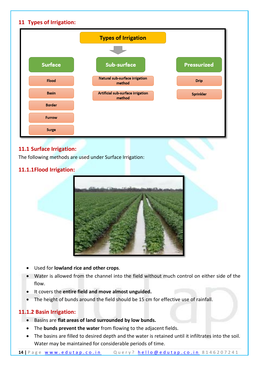<span id="page-13-0"></span>

## <span id="page-13-1"></span>**11.1 Surface Irrigation:**

The following methods are used under Surface Irrigation:

### <span id="page-13-2"></span>**11.1.1Flood Irrigation:**



- Used for **lowland rice and other crops**.
- Water is allowed from the channel into the field without much control on either side of the flow.
- It covers the **entire field and move almost unguided.**
- <span id="page-13-3"></span>• The height of bunds around the field should be 15 cm for effective use of rainfall.

## **11.1.2 Basin Irrigation:**

- Basins are **flat areas of land surrounded by low bunds.**
- The **bunds prevent the water** from flowing to the adjacent fields.
- The basins are filled to desired depth and the water is retained until it infiltrates into the soil. Water may be maintained for considerable periods of time.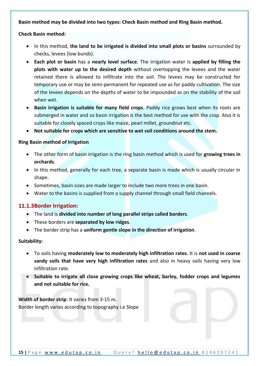#### **Basin method may be divided into two types: Check Basin method and Ring Basin method.**

#### **Check Basin method:**

- In this method, **the land to be irrigated is divided into small plots or basins** surrounded by checks, levees (low bunds).
- **Each plot or basin** has a **nearly level surface**. The irrigation water is **applied by filling the plots with water up to the desired depth** without overtopping the levees and the water retained there is allowed to infiltrate into the soil. The levees may be constructed for temporary use or may be semi-permanent for repeated use as for paddy cultivation. The size of the levees depends on the depths of water to be impounded as on the stability of the soil when wet.
- **Basin irrigation is suitable for many field crops**. Paddy rice grows best when its roots are submerged in water and so basin irrigation is the best method for use with the crop. Also it is suitable for closely spaced crops like maize, pearl millet, groundnut etc.
- **Not suitable for crops which are sensitive to wet soil conditions around the stem.**

#### **Ring Basin method of Irrigation**

- The other form of basin irrigation is the ring basin method which is used for **growing trees in orchards**.
- In this method, generally for each tree, a separate basin is made which is usually circular in shape.
- Sometimes, basin sizes are made larger to include two more trees in one basin.
- Water to the basins is supplied from a supply channel through small field channels.

### <span id="page-14-0"></span>**11.1.3Border Irrigation:**

- The land is **divided into number of long parallel strips called borders**.
- These borders are **separated by low ridges**.
- The border strip has a **uniform gentle slope in the direction of irrigation**.

#### **Suitability:**

- To soils having **moderately low to moderately high infiltration rates**. It is **not used in coarse sandy soils that have very high infiltration rates** and also in heavy soils having very low infiltration rate.
- **Suitable to irrigate all close growing crops like wheat, barley, fodder crops and legumes and not suitable for rice.**

**Width of border strip**: It varies from 3-15 m. Border length varies according to topography i.e Slope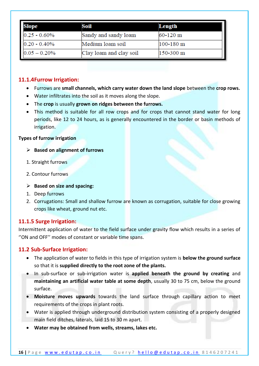| Slope           | Soil                    | Length        |
|-----------------|-------------------------|---------------|
| $0.25 - 0.60\%$ | Sandy and sandy loam    | 60-120 m      |
| $0.20 - 0.40\%$ | Medium loam soil        | $100 - 180$ m |
| $0.05 - 0.20%$  | Clay loam and clay soil | 150-300 m     |

### <span id="page-15-0"></span>**11.1.4Furrow Irrigation:**

- Furrows are **small channels, which carry water down the land slope** between the **crop rows.**
- Water infiltrates into the soil as it moves along the slope.
- The **crop** is usually **grown on ridges between the furrows.**
- This method is suitable for all row crops and for crops that cannot stand water for long periods, like 12 to 24 hours, as is generally encountered in the border or basin methods of irrigation.

#### **Types of furrow irrigation**

- ➢ **Based on alignment of furrows**
- 1. Straight furrows
- 2. Contour furrows
- ➢ **Based on size and spacing:**
- 1. Deep furrows
- 2. Corrugations: Small and shallow furrow are known as corrugation, suitable for close growing crops like wheat, ground nut etc.

## <span id="page-15-1"></span>**11.1.5 Surge Irrigation:**

Intermittent application of water to the field surface under gravity flow which results in a series of ''ON and OFF'' modes of constant or variable time spans.

### <span id="page-15-2"></span>**11.2 Sub-Surface Irrigation:**

- The application of water to fields in this type of irrigation system is **below the ground surface** so that it is **supplied directly to the root zone of the plants.**
- In sub-surface or sub-irrigation water is **applied beneath the ground by creating** and **maintaining an artificial water table at some depth**, usually 30 to 75 cm, below the ground surface.
- **Moisture moves upwards** towards the land surface through capillary action to meet requirements of the crops in plant roots.
- Water is applied through underground distribution system consisting of a properly designed main field ditches, laterals, laid 15 to 30 m apart.
- **Water may be obtained from wells, streams, lakes etc.**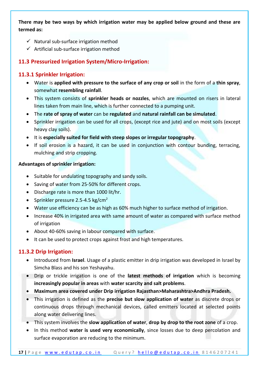### **There may be two ways by which irrigation water may be applied below ground and these are termed as:**

- $\checkmark$  Natural sub-surface irrigation method
- $\checkmark$  Artificial sub-surface irrigation method

## <span id="page-16-0"></span>**11.3 Pressurized Irrigation System/Micro-Irrigation:**

### **11.3.1 Sprinkler Irrigation:**

- <span id="page-16-1"></span>• Water is **applied with pressure to the surface of any crop or soil** in the form of a **thin spray**, somewhat **resembling rainfall**.
- This system consists of **sprinkler heads or nozzles**, which are mounted on risers in lateral lines taken from main line, which is further connected to a pumping unit.
- The **rate of spray of water** can be **regulated** and **natural rainfall can be simulated**.
- Sprinkler irrigation can be used for all crops, (except rice and jute) and on most soils (except heavy clay soils).
- It is **especially suited for field with steep slopes or irregular topography**.
- If soil erosion is a hazard, it can be used in conjunction with contour bunding, terracing, mulching and strip cropping.

#### **Advantages of sprinkler irrigation:**

- Suitable for undulating topography and sandy soils.
- Saving of water from 25-50% for different crops.
- Discharge rate is more than 1000 lit/hr.
- Sprinkler pressure 2.5-4.5 kg/cm<sup>2</sup>
- Water use efficiency can be as high as 60% much higher to surface method of irrigation.
- Increase 40% in irrigated area with same amount of water as compared with surface method of irrigation
- About 40-60% saving in labour compared with surface.
- It can be used to protect crops against frost and high temperatures.

### **11.3.2 Drip Irrigation:**

- <span id="page-16-2"></span>• Introduced from **Israel**. Usage of a plastic emitter in drip irrigation was developed in Israel by Simcha Blass and his son Yeshayahu.
- Drip or trickle irrigation is one of the **latest methods of irrigation** which is becoming **increasingly popular in areas** with **water scarcity and salt problems**.
- **Maximum area covered under Drip irrigation Rajasthan>Maharashtra>Andhra Pradesh.**
- This irrigation is defined as the **precise but slow application of water** as discrete drops or continuous drops through mechanical devices, called emitters located at selected points along water delivering lines.
- This system involves the **slow application of water**, **drop by drop to the root zone** of a crop.
- In this method **water is used very economically**, since losses due to deep percolation and surface evaporation are reducing to the minimum.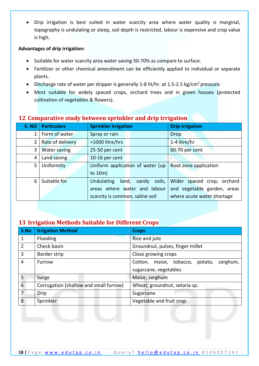• Drip irrigation is best suited in water scarcity area where water quality is marginal, topography is undulating or steep, soil depth is restricted, labour is expensive and crop value is high.

#### **Advantages of drip irrigation:**

- Suitable for water scarcity area water saving 50-70% as compare to surface.
- Fertilizer or other chemical amendment can be efficiently applied to individual or separate plants.
- Discharge rate of water per dripper is generally 1-8 lit/hr. at 1.5-2.5 kg/cm<sup>2</sup> pressure.
- Most suitable for widely spaced crops, orchard trees and in green houses (protected cultivation of vegetables & flowers).

| S. NO          | <b>Particulars</b>  | <b>Sprinkler irrigation</b>      | <b>Drip irrigation</b>      |
|----------------|---------------------|----------------------------------|-----------------------------|
| 1              | Form of water       | Spray or rain                    | <b>Drop</b>                 |
| $\overline{2}$ | Rate of delivery    | >1000 litre/hrs                  | 1-4 litre/hr                |
| 3              | <b>Water saving</b> | 25-50 per cent                   | 60-70 per cent              |
| 4              | Land saving         | 10-16 per cent                   |                             |
| 5              | Uniformity          | Uniform application of water (up | Root zone application       |
|                |                     | to $10m$ )                       |                             |
| 6              | Suitable for        | Undulating<br>land, sandy soils, | Wider spaced crop, orchard  |
|                |                     | areas where water and labour     | and vegetable garden, areas |
|                |                     | scarcity is common, saline soil  | where acute water shortage  |

### <span id="page-17-0"></span>**12 Comparative study between sprinkler and drip irrigation**

## <span id="page-17-1"></span>**13 Irrigation Methods Suitable for Different Crops**

| S.No           | <b>Irrigation Method</b>                                                | <b>Crops</b>                                |
|----------------|-------------------------------------------------------------------------|---------------------------------------------|
| 1              | Flooding                                                                | Rice and jute                               |
| $\overline{2}$ | Check basin                                                             | Groundnut, pulses, finger millet            |
| 3              | Border strip                                                            | Close growing crops                         |
| $\overline{4}$ | Furrow                                                                  | Cotton, maize, tobacco, potato,<br>sorghum, |
|                |                                                                         | sugarcane, vegetables                       |
| 5              | Surge                                                                   | Maize, sorghum                              |
| 6              | Corrugation (shallow and small furrow)<br>Wheat, groundnut, setaria sp. |                                             |
| 7              | Drip                                                                    | Sugarcane                                   |
| 8              | Sprinkler                                                               | Vegetable and fruit crop                    |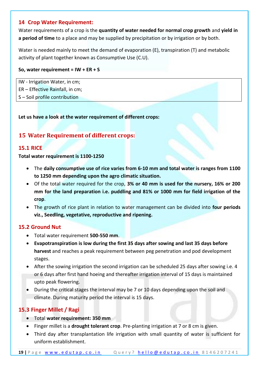### <span id="page-18-0"></span>**14 Crop Water Requirement:**

Water requirements of a crop is the **quantity of water needed for normal crop growth** and **yield in a period of time** to a place and may be supplied by precipitation or by irrigation or by both.

Water is needed mainly to meet the demand of evaporation (E), transpiration (T) and metabolic activity of plant together known as Consumptive Use (C.U).

### **So, water requirement = IW + ER + S**

IW - Irrigation Water, in cm; ER – Effective Rainfall, in cm;

S – Soil profile contribution

**Let us have a look at the water requirement of different crops:**

## <span id="page-18-1"></span>**15 Water Requirement of different crops:**

### <span id="page-18-2"></span>**15.1 RICE**

**Total water requirement is 1100-1250**

- The **daily consumptive use of rice varies from 6-10 mm and total water is ranges from 1100 to 1250 mm depending upon the agro climatic situation.**
- Of the total water required for the crop, **3% or 40 mm is used for the nursery, 16% or 200 mm for the land preparation i.e. puddling and 81% or 1000 mm for field irrigation of the crop**.
- The growth of rice plant in relation to water management can be divided into **four periods viz., Seedling, vegetative, reproductive and ripening.**

### <span id="page-18-3"></span>**15.2 Ground Nut**

- Total water requirement **500-550 mm**.
- **Evapotranspiration is low during the first 35 days after sowing and last 35 days before harvest** and reaches a peak requirement between peg penetration and pod development stages.
- After the sowing irrigation the second irrigation can be scheduled 25 days after sowing i.e. 4 or 6 days after first hand hoeing and thereafter irrigation interval of 15 days is maintained upto peak flowering.
- During the critical stages the interval may be 7 or 10 days depending upon the soil and climate. During maturity period the interval is 15 days.

## <span id="page-18-4"></span>**15.3 Finger Millet / Ragi**

- Total **water requirement: 350 mm**
- Finger millet is a **drought tolerant crop**. Pre-planting irrigation at 7 or 8 cm is given.
- Third day after transplantation life irrigation with small quantity of water is sufficient for uniform establishment.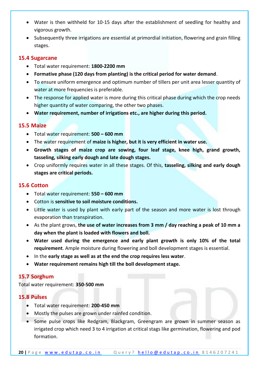- Water is then withheld for 10-15 days after the establishment of seedling for healthy and vigorous growth.
- Subsequently three irrigations are essential at primordial initiation, flowering and grain filling stages.

### <span id="page-19-0"></span>**15.4 Sugarcane**

- Total water requirement: **1800-2200 mm**
- **Formative phase (120 days from planting) is the critical period for water demand**.
- To ensure uniform emergence and optimum number of tillers per unit area lesser quantity of water at more frequencies is preferable.
- The response for applied water is more during this critical phase during which the crop needs higher quantity of water comparing, the other two phases.
- **Water requirement, number of irrigations etc., are higher during this period.**

### <span id="page-19-1"></span>**15.5 Maize**

- Total water requirement: **500 – 600 mm**
- The water requirement of **maize is higher, but it is very efficient in water use.**
- **Growth stages of maize crop are sowing, four leaf stage, knee high, grand growth, tasseling, silking early dough and late dough stages.**
- Crop uniformly requires water in all these stages. Of this, **tasseling, silking and early dough stages are critical periods.**

### <span id="page-19-2"></span>**15.6 Cotton**

- Total water requirement: **550 – 600 mm**
- Cotton is **sensitive to soil moisture conditions.**
- Little water is used by plant with early part of the season and more water is lost through evaporation than transpiration.
- As the plant grows, **the use of water increases from 3 mm / day reaching a peak of 10 mm a day when the plant is loaded with flowers and boll.**
- **Water used during the emergence and early plant growth is only 10% of the total requirement**. Ample moisture during flowering and boll development stages is essential.
- In the **early stage as well as at the end the crop requires less water**.
- **Water requirement remains high till the boll development stage.**

### <span id="page-19-3"></span>**15.7 Sorghum**

Total water requirement: **350-500 mm**

### <span id="page-19-4"></span>**15.8 Pulses**

- Total water requirement: **200-450 mm**
- Mostly the pulses are grown under rainfed condition.
- Some pulse crops like Redgram, Blackgram, Greengram are grown in summer season as irrigated crop which need 3 to 4 irrigation at critical stags like germination, flowering and pod formation.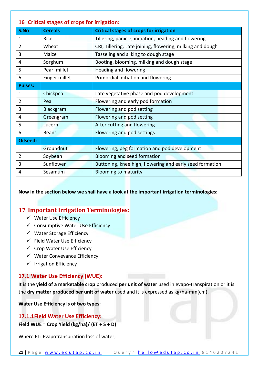<span id="page-20-0"></span>

| 16 Critical stages of crops for irrigation: |                |                                                            |  |
|---------------------------------------------|----------------|------------------------------------------------------------|--|
| S.No                                        | <b>Cereals</b> | <b>Critical stages of crops for irrigation</b>             |  |
| 1                                           | Rice           | Tillering, panicle, initiation, heading and flowering      |  |
| 2                                           | Wheat          | CRI, Tillering, Late joining, flowering, milking and dough |  |
| 3                                           | Maize          | Tasseling and silking to dough stage                       |  |
| 4                                           | Sorghum        | Booting, blooming, milking and dough stage                 |  |
| 5                                           | Pearl millet   | Heading and flowering                                      |  |
| 6                                           | Finger millet  | Primordial initiation and flowering                        |  |
| <b>Pulses:</b>                              |                |                                                            |  |
| $\mathbf{1}$                                | Chickpea       | Late vegetative phase and pod development                  |  |
| $\overline{2}$                              | Pea            | Flowering and early pod formation                          |  |
| 3                                           | Blackgram      | Flowering and pod setting                                  |  |
| 4                                           | Greengram      | Flowering and pod setting                                  |  |
| 5                                           | Lucern         | After cutting and flowering                                |  |
| 6                                           | <b>Beans</b>   | Flowering and pod settings                                 |  |
| Oilseed:                                    |                |                                                            |  |
| $\mathbf{1}$                                | Groundnut      | Flowering, peg formation and pod development               |  |
| 2                                           | Soybean        | Blooming and seed formation                                |  |
| 3                                           | Sunflower      | Buttoning, knee high, flowering and early seed formation   |  |
| 4                                           | Sesamum        | <b>Blooming to maturity</b>                                |  |

**Now in the section below we shall have a look at the important irrigation terminologies:**

## <span id="page-20-1"></span>**17 Important Irrigation Terminologies:**

- ✓ Water Use Efficiency
- ✓ Consumptive Water Use Efficiency
- ✓ Water Storage Efficiency
- $\checkmark$  Field Water Use Efficiency
- $\checkmark$  Crop Water Use Efficiency
- ✓ Water Conveyance Efficiency
- ✓ Irrigation Efficiency

## <span id="page-20-2"></span>**17.1 Water Use Efficiency (WUE):**

It is the **yield of a marketable crop** produced **per unit of water** used in evapo-transpiration or it is the **dry matter produced per unit of water** used and it is expressed as kg/ha-mm(cm).

**Water Use Efficiency is of two types:**

## <span id="page-20-3"></span>**17.1.1Field Water Use Efficiency:**

**Field WUE = Crop Yield (kg/ha)/ (ET + S + D)**

Where ET: Evapotranspiration loss of water;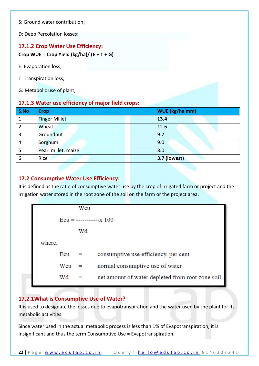S: Ground water contribution;

D: Deep Percolation losses;

### <span id="page-21-0"></span>**17.1.2 Crop Water Use Efficiency:**

**Crop WUE = Crop Yield (kg/ha)/ (E + T + G)**

- E: Evaporation loss;
- T: Transpiration loss;
- G: Metabolic use of plant;

### <span id="page-21-1"></span>**17.1.3 Water use efficiency of major field crops:**

| S.No           | <b>Crop</b>          | WUE (kg/ha mm) |
|----------------|----------------------|----------------|
| 1              | <b>Finger Millet</b> | 13.4           |
| $\overline{2}$ | Wheat                | 12.6           |
| 3              | Groundnut            | 9.2            |
| $\overline{4}$ | Sorghum              | 9.0            |
|                | Pearl millet, maize  | 8.0            |
| 6              | Rice                 | 3.7 (lowest)   |

### <span id="page-21-2"></span>**17.2 Consumptive Water Use Efficiency:**

It is defined as the ratio of consumptive water use by the crop of irrigated farm or project and the irrigation water stored in the root zone of the soil on the farm or the project area.

## <span id="page-21-3"></span>**17.2.1What is Consumptive Use of Water?**

It is used to designate the losses due to evapotranspiration and the water used by the plant for its metabolic activities.

Since water used in the actual metabolic process is less than 1% of Evapotranspiration, it is insignificant and thus the term Consumptive Use = Evapotranspiration.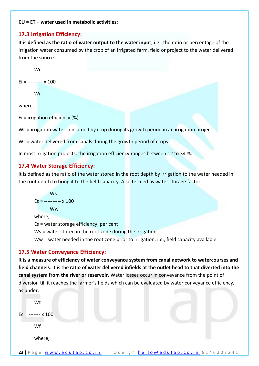#### **CU = ET + water used in metabolic activities;**

### <span id="page-22-0"></span>**17.3 Irrigation Efficiency:**

It is **defined as the ratio of water output to the water input**, i.e., the ratio or percentage of the irrigation water consumed by the crop of an irrigated farm, field or project to the water delivered from the source.

**W<sub>c</sub>** 

 $Ei =$  ---------  $\times$  100

Wr

where,

Ei = irrigation efficiency (%)

Wc = irrigation water consumed by crop during its growth period in an irrigation project.

Wr = water delivered from canals during the growth period of crops.

In most irrigation projects, the irrigation efficiency ranges between 12 to 34 %.

### <span id="page-22-1"></span>**17.4 Water Storage Efficiency:**

It is defined as the ratio of the water stored in the root depth by irrigation to the water needed in the root depth to bring it to the field capacity. Also termed as water storage factor.

```
W<sub>s</sub>
Es = ---------- x 100Ww
where,
```
Es = water storage efficiency, per cent

Ws = water stored in the root zone during the irrigation

Ww = water needed in the root zone prior to irrigation, i.e., field capacity available

### <span id="page-22-2"></span>**17.5 Water Conveyance Efficiency:**

It is a **measure of efficiency of water conveyance system from canal network to watercourses and field channels**. It is the **ratio of water delivered infields at the outlet head to that diverted into the canal system from the river or reservoir**. Water losses occur in conveyance from the point of diversion till it reaches the farmer's fields which can be evaluated by water conveyance efficiency, as under:

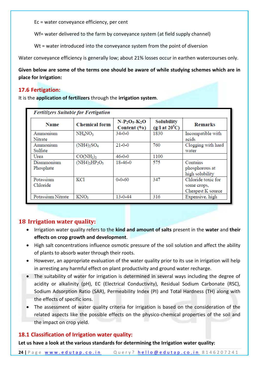Ec = water conveyance efficiency, per cent

Wf= water delivered to the farm by conveyance system (at field supply channel)

Wt = water introduced into the conveyance system from the point of diversion

Water conveyance efficiency is generally low; about 21% losses occur in earthen watercourses only.

**Given below are some of the terms one should be aware of while studying schemes which are in place for Irrigation:**

#### <span id="page-23-0"></span>**17.6 Fertigation:**

It is the **application of fertilizers** through the **irrigation system**.

| <b>Fertilizers Suitable for Fertigation</b> |                                   |                                |                                                       |                    |  |
|---------------------------------------------|-----------------------------------|--------------------------------|-------------------------------------------------------|--------------------|--|
| Name                                        | <b>Chemical form</b>              | $N-P_2O_5-K_2O$<br>Content (%) | <b>Solubility</b><br>$(g/l \text{ at } 20^0\text{C})$ | Remarks            |  |
| Ammonium                                    | NH <sub>4</sub> NO <sub>3</sub>   | $34 - 0 - 0$                   | 1830                                                  | Incompatible with  |  |
| Nitrate                                     |                                   |                                |                                                       | acids              |  |
| Ammonium                                    | $(NH4)_{2}SO_{4}$                 | $21 - 0 - 0$                   | 760                                                   | Clogging with hard |  |
| Sulfate                                     |                                   |                                |                                                       | water              |  |
| Urea                                        | CO(NH <sub>2</sub> ) <sub>2</sub> | $46 - 0 - 0$                   | 1100                                                  |                    |  |
| Diammonium                                  | $(NH4)_{2}HP_{2}O_{5}$            | 18-46-0                        | 575                                                   | Contains           |  |
| Phosphate                                   |                                   |                                |                                                       | phosphorous at     |  |
|                                             |                                   |                                |                                                       | high solubility    |  |
| Potassium                                   | KCl                               | $0 - 0 - 60$                   | 347                                                   | Chloride toxic for |  |
| Chloride                                    |                                   |                                |                                                       | some crops,        |  |
|                                             |                                   |                                |                                                       | Cheapest K source  |  |
| Potassium Nitrate                           | KNO <sub>3</sub>                  | $13 - 0 - 44$                  | 316                                                   | Expensive, high    |  |

### <span id="page-23-1"></span>**18 Irrigation water quality:**

- Irrigation water quality refers to the **kind and amount of salts** present in the **water** and **their effects on crop growth and development**.
- High salt concentrations influence osmotic pressure of the soil solution and affect the ability of plants to absorb water through their roots.
- However, an appropriate evaluation of the water quality prior to its use in irrigation will help in arresting any harmful effect on plant productivity and ground water recharge.
- The suitability of water for irrigation is determined in several ways including the degree of acidity or alkalinity (pH), EC (Electrical Conductivity), Residual Sodium Carbonate (RSC), Sodium Adsorption Ratio (SAR), Permeability Index (PI) and Total Hardness (TH) along with the effects of specific ions.
- The assessment of water quality criteria for irrigation is based on the consideration of the related aspects like the possible effects on the physico-chemical properties of the soil and the impact on crop yield.

### <span id="page-23-2"></span>**18.1 Classification of Irrigation water quality:**

**Let us have a look at the various standards for determining the Irrigation water quality:**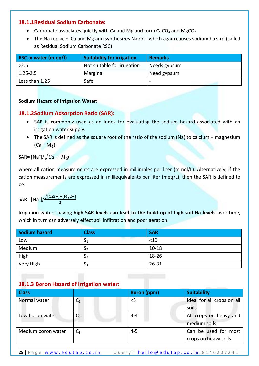### <span id="page-24-0"></span>**18.1.1Residual Sodium Carbonate:**

- Carbonate associates quickly with Ca and Mg and form CaCO<sub>3</sub> and MgCO<sub>3</sub>.
- The Na replaces Ca and Mg and synthesizes  $Na<sub>2</sub>CO<sub>3</sub>$  which again causes sodium hazard (called as Residual Sodium Carbonate RSC).

| RSC in water (m.eq/l) | Suitability for irrigation  | <b>Remarks</b> |
|-----------------------|-----------------------------|----------------|
| >2.5                  | Not suitable for irrigation | Needs gypsum   |
| $1.25 - 2.5$          | Marginal                    | Need gypsum    |
| Less than 1.25        | Safe                        |                |

#### **Sodium Hazard of Irrigation Water:**

### <span id="page-24-1"></span>**18.1.2Sodium Adsorption Ratio (SAR):**

- SAR is commonly used as an index for evaluating the sodium hazard associated with an irrigation water supply.
- The SAR is defined as the square root of the ratio of the sodium (Na) to calcium + magnesium  $(Ca + Mg)$ .

SAR= [Na $^{\ast}$ ]/ $\sqrt{Ca+Mg}$ 

where all cation measurements are expressed in millimoles per liter (mmol/L). Alternatively, if the cation measurements are expressed in milliequivalents per liter (meq/L), then the SAR is defined to be:

$$
\mathsf{SAR} = \frac{\left[\mathsf{Na}^{\dagger}\right] / \frac{\sqrt{\left[\mathsf{Ca}2 + \mathsf{1}\right] + \left[\mathsf{Mg}2 + \mathsf{1}\right]}}{2}}
$$

Irrigation waters having **high SAR levels can lead to the build‐up of high soil Na levels** over time, which in turn can adversely effect soil infiltration and poor aeration.

| Sodium hazard | <b>Class</b>   | <b>SAR</b> |
|---------------|----------------|------------|
| Low           | $\mathsf{a}_1$ | $<$ 10     |
| Medium        | رد             | $10 - 18$  |
| High          | Эą             | 18-26      |
| Very High     | $\mathsf{a}_4$ | $26 - 31$  |

## <span id="page-24-2"></span>**18.1.3 Boron Hazard of Irrigation water:**

| <b>Class</b>       |                | <b>Boron</b> (ppm) | <b>Suitability</b>         |
|--------------------|----------------|--------------------|----------------------------|
| Normal water       | $C_1$          | $<$ 3              | Ideal for all crops on all |
|                    |                |                    | soils                      |
| Low boron water    | C <sub>2</sub> | $3 - 4$            | All crops on heavy and     |
|                    |                |                    | medium soils               |
| Medium boron water | $C_3$          | $4 - 5$            | Can be used for most       |
|                    |                |                    | crops on heavy soils       |